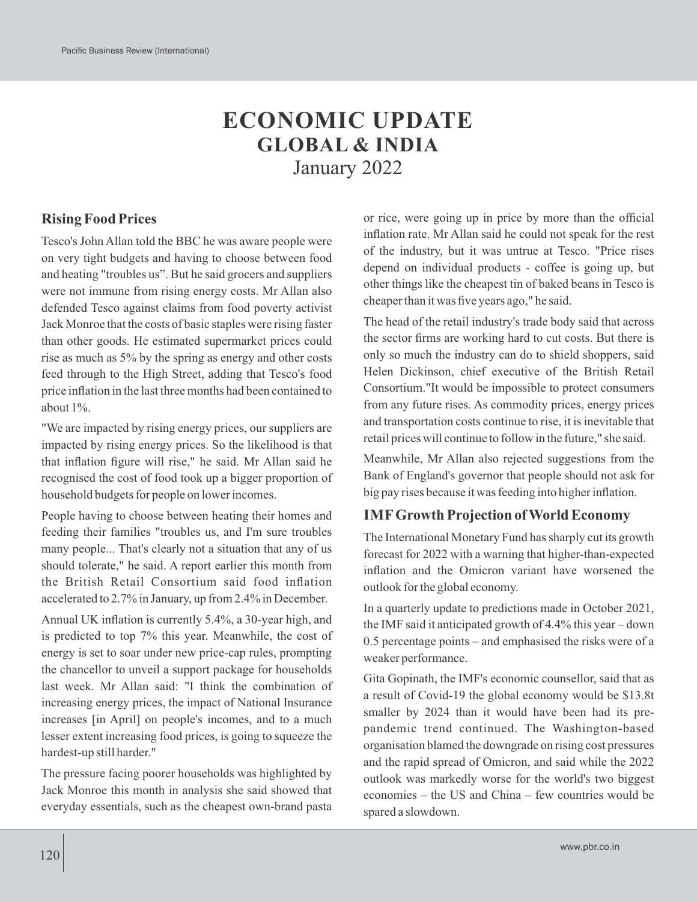# **ECONOMIC UPDATE GLOBAL & INDIA** January 2022

#### **Rising Food Prices**

Tesco's John Allan told the BBC he was aware people were on very tight budgets and having to choose between food and heating "troubles us". But he said grocers and suppliers were not immune from rising energy costs. Mr Allan also defended Tesco against claims from food poverty activist Jack Monroe that the costs of basic staples were rising faster than other goods. He estimated supermarket prices could rise as much as 5% by the spring as energy and other costs feed through to the High Street, adding that Tesco's food price inflation in the last three months had been contained to about 1%.

"We are impacted by rising energy prices, our suppliers are impacted by rising energy prices. So the likelihood is that that inflation figure will rise," he said. Mr Allan said he recognised the cost of food took up a bigger proportion of household budgets for people on lower incomes.

People having to choose between heating their homes and feeding their families "troubles us, and I'm sure troubles many people... That's clearly not a situation that any of us should tolerate," he said. A report earlier this month from the British Retail Consortium said food inflation accelerated to 2.7% in January, up from 2.4% in December.

Annual UK inflation is currently 5.4%, a 30-year high, and is predicted to top 7% this year. Meanwhile, the cost of energy is set to soar under new price-cap rules, prompting the chancellor to unveil a support package for households last week. Mr Allan said: "I think the combination of increasing energy prices, the impact of National Insurance increases [in April] on people's incomes, and to a much lesser extent increasing food prices, is going to squeeze the hardest-up still harder."

The pressure facing poorer households was highlighted by Jack Monroe this month in analysis she said showed that everyday essentials, such as the cheapest own-brand pasta

or rice, were going up in price by more than the official inflation rate. Mr Allan said he could not speak for the rest of the industry, but it was untrue at Tesco. "Price rises depend on individual products - coffee is going up, but other things like the cheapest tin of baked beans in Tesco is cheaper than it was five years ago," he said.

The head of the retail industry's trade body said that across the sector firms are working hard to cut costs. But there is only so much the industry can do to shield shoppers, said Helen Dickinson, chief executive of the British Retail Consortium."It would be impossible to protect consumers from any future rises. As commodity prices, energy prices and transportation costs continue to rise, it is inevitable that retail prices will continue to follow in the future," she said.

Meanwhile, Mr Allan also rejected suggestions from the Bank of England's governor that people should not ask for big pay rises because it was feeding into higher inflation.

### **IMFGrowth Projection of World Economy**

The International Monetary Fund has sharply cut its growth forecast for 2022 with a warning that higher-than-expected inflation and the Omicron variant have worsened the outlook for the global economy.

In a quarterly update to predictions made in October 2021, the IMF said it anticipated growth of 4.4% this year – down 0.5 percentage points – and emphasised the risks were of a weaker performance.

Gita Gopinath, the IMF's economic counsellor, said that as a result of Covid-19 the global economy would be \$13.8t smaller by 2024 than it would have been had its prepandemic trend continued. The Washington-based organisation blamed the downgrade on rising cost pressures and the rapid spread of Omicron, and said while the 2022 outlook was markedly worse for the world's two biggest economies – the US and China – few countries would be spared a slowdown.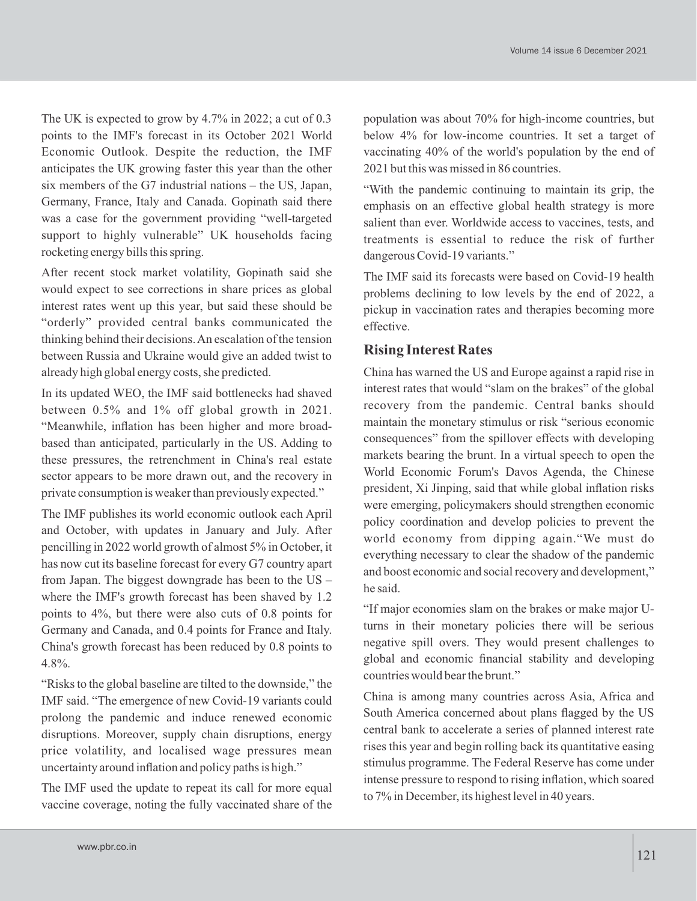The UK is expected to grow by 4.7% in 2022; a cut of 0.3 points to the IMF's forecast in its October 2021 World Economic Outlook. Despite the reduction, the IMF anticipates the UK growing faster this year than the other six members of the G7 industrial nations – the US, Japan, Germany, France, Italy and Canada. Gopinath said there was a case for the government providing "well-targeted support to highly vulnerable" UK households facing rocketing energy bills this spring.

After recent stock market volatility, Gopinath said she would expect to see corrections in share prices as global interest rates went up this year, but said these should be "orderly" provided central banks communicated the thinking behind their decisions. An escalation of the tension between Russia and Ukraine would give an added twist to already high global energy costs, she predicted.

In its updated WEO, the IMF said bottlenecks had shaved between 0.5% and 1% off global growth in 2021. "Meanwhile, inflation has been higher and more broadbased than anticipated, particularly in the US. Adding to these pressures, the retrenchment in China's real estate sector appears to be more drawn out, and the recovery in private consumption is weaker than previously expected."

The IMF publishes its world economic outlook each April and October, with updates in January and July. After pencilling in 2022 world growth of almost 5% in October, it has now cut its baseline forecast for every G7 country apart from Japan. The biggest downgrade has been to the US – where the IMF's growth forecast has been shaved by 1.2 points to 4%, but there were also cuts of 0.8 points for Germany and Canada, and 0.4 points for France and Italy. China's growth forecast has been reduced by 0.8 points to 4.8%.

"Risks to the global baseline are tilted to the downside," the IMF said. "The emergence of new Covid-19 variants could prolong the pandemic and induce renewed economic disruptions. Moreover, supply chain disruptions, energy price volatility, and localised wage pressures mean uncertainty around inflation and policy paths is high."

The IMF used the update to repeat its call for more equal vaccine coverage, noting the fully vaccinated share of the population was about 70% for high-income countries, but below 4% for low-income countries. It set a target of vaccinating 40% of the world's population by the end of 2021 but this was missed in 86 countries.

"With the pandemic continuing to maintain its grip, the emphasis on an effective global health strategy is more salient than ever. Worldwide access to vaccines, tests, and treatments is essential to reduce the risk of further dangerous Covid-19 variants."

The IMF said its forecasts were based on Covid-19 health problems declining to low levels by the end of 2022, a pickup in vaccination rates and therapies becoming more effective.

# **Rising Interest Rates**

China has warned the US and Europe against a rapid rise in interest rates that would "slam on the brakes" of the global recovery from the pandemic. Central banks should maintain the monetary stimulus or risk "serious economic consequences" from the spillover effects with developing markets bearing the brunt. In a virtual speech to open the World Economic Forum's Davos Agenda, the Chinese president, Xi Jinping, said that while global inflation risks were emerging, policymakers should strengthen economic policy coordination and develop policies to prevent the world economy from dipping again."We must do everything necessary to clear the shadow of the pandemic and boost economic and social recovery and development," he said.

"If major economies slam on the brakes or make major Uturns in their monetary policies there will be serious negative spill overs. They would present challenges to global and economic financial stability and developing countries would bear the brunt."

China is among many countries across Asia, Africa and South America concerned about plans flagged by the US central bank to accelerate a series of planned interest rate rises this year and begin rolling back its quantitative easing stimulus programme. The Federal Reserve has come under intense pressure to respond to rising inflation, which soared to 7% in December, its highest level in 40 years.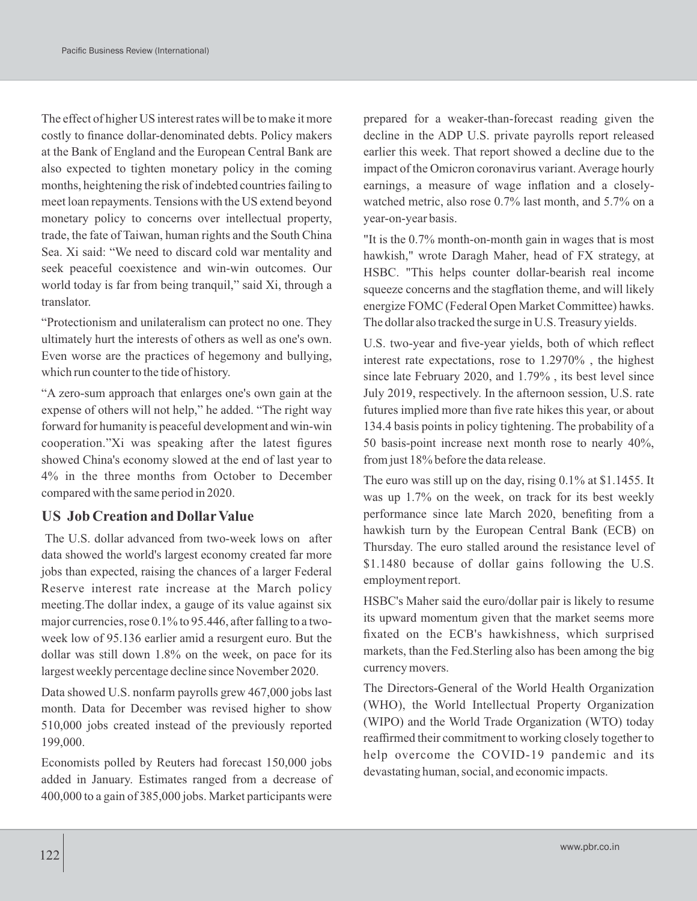The effect of higher US interest rates will be to make it more costly to finance dollar-denominated debts. Policy makers at the Bank of England and the European Central Bank are also expected to tighten monetary policy in the coming months, heightening the risk of indebted countries failing to meet loan repayments. Tensions with the US extend beyond monetary policy to concerns over intellectual property, trade, the fate of Taiwan, human rights and the South China Sea. Xi said: "We need to discard cold war mentality and seek peaceful coexistence and win-win outcomes. Our world today is far from being tranquil," said Xi, through a translator.

"Protectionism and unilateralism can protect no one. They ultimately hurt the interests of others as well as one's own. Even worse are the practices of hegemony and bullying, which run counter to the tide of history.

"A zero-sum approach that enlarges one's own gain at the expense of others will not help," he added. "The right way forward for humanity is peaceful development and win-win cooperation."Xi was speaking after the latest figures showed China's economy slowed at the end of last year to 4% in the three months from October to December compared with the same period in 2020.

#### **US Job Creation and DollarValue**

The U.S. dollar advanced from two-week lows on after data showed the world's largest economy created far more jobs than expected, raising the chances of a larger Federal Reserve interest rate increase at the March policy meeting.The dollar index, a gauge of its value against six major currencies, rose 0.1% to 95.446, after falling to a twoweek low of 95.136 earlier amid a resurgent euro. But the dollar was still down 1.8% on the week, on pace for its largest weekly percentage decline since November 2020.

Data showed U.S. nonfarm payrolls grew 467,000 jobs last month. Data for December was revised higher to show 510,000 jobs created instead of the previously reported 199,000.

Economists polled by Reuters had forecast 150,000 jobs added in January. Estimates ranged from a decrease of 400,000 to a gain of 385,000 jobs. Market participants were

prepared for a weaker-than-forecast reading given the decline in the ADP U.S. private payrolls report released earlier this week. That report showed a decline due to the impact of the Omicron coronavirus variant. Average hourly earnings, a measure of wage inflation and a closelywatched metric, also rose 0.7% last month, and 5.7% on a year-on-year basis.

"It is the 0.7% month-on-month gain in wages that is most hawkish," wrote Daragh Maher, head of FX strategy, at HSBC. "This helps counter dollar-bearish real income squeeze concerns and the stagflation theme, and will likely energize FOMC (Federal Open Market Committee) hawks. The dollar also tracked the surge in U.S. Treasury yields.

U.S. two-year and five-year yields, both of which reflect interest rate expectations, rose to 1.2970% , the highest since late February 2020, and 1.79% , its best level since July 2019, respectively. In the afternoon session, U.S. rate futures implied more than five rate hikes this year, or about 134.4 basis points in policy tightening. The probability of a 50 basis-point increase next month rose to nearly 40%, from just 18% before the data release.

The euro was still up on the day, rising 0.1% at \$1.1455. It was up 1.7% on the week, on track for its best weekly performance since late March 2020, benefiting from a hawkish turn by the European Central Bank (ECB) on Thursday. The euro stalled around the resistance level of \$1.1480 because of dollar gains following the U.S. employment report.

HSBC's Maher said the euro/dollar pair is likely to resume its upward momentum given that the market seems more fixated on the ECB's hawkishness, which surprised markets, than the Fed.Sterling also has been among the big currency movers.

The Directors-General of the World Health Organization (WHO), the World Intellectual Property Organization (WIPO) and the World Trade Organization (WTO) today reaffirmed their commitment to working closely together to help overcome the COVID-19 pandemic and its devastating human, social, and economic impacts.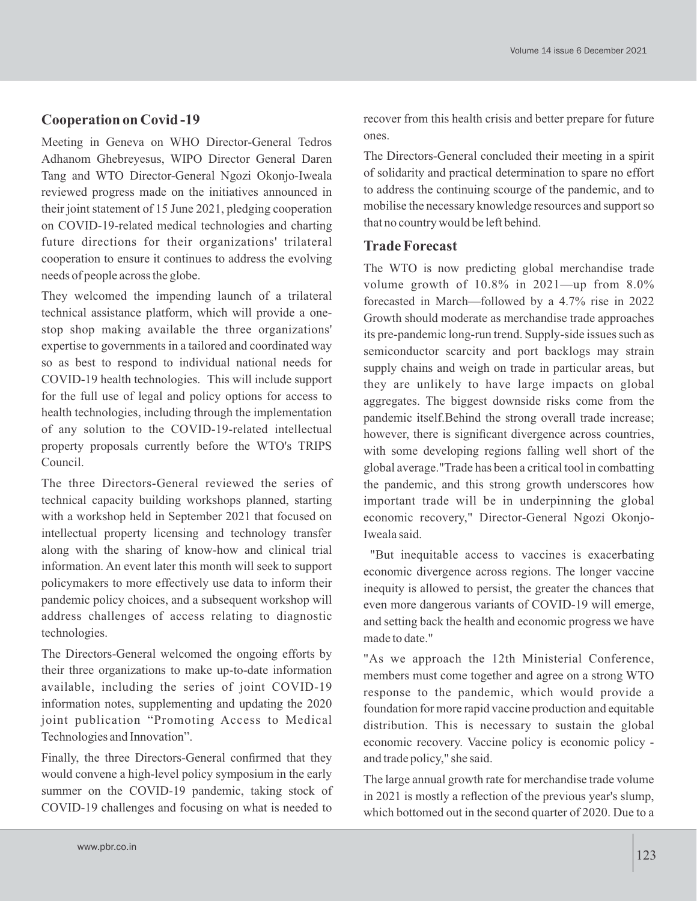## **Cooperation on Covid -19**

Meeting in Geneva on WHO Director-General Tedros Adhanom Ghebreyesus, WIPO Director General Daren Tang and WTO Director-General Ngozi Okonjo-Iweala reviewed progress made on the initiatives announced in their joint statement of 15 June 2021, pledging cooperation on COVID-19-related medical technologies and charting future directions for their organizations' trilateral cooperation to ensure it continues to address the evolving needs of people across the globe.

They welcomed the impending launch of a trilateral technical assistance platform, which will provide a onestop shop making available the three organizations' expertise to governments in a tailored and coordinated way so as best to respond to individual national needs for COVID-19 health technologies. This will include support for the full use of legal and policy options for access to health technologies, including through the implementation of any solution to the COVID-19-related intellectual property proposals currently before the WTO's TRIPS Council.

The three Directors-General reviewed the series of technical capacity building workshops planned, starting with a workshop held in September 2021 that focused on intellectual property licensing and technology transfer along with the sharing of know-how and clinical trial information. An event later this month will seek to support policymakers to more effectively use data to inform their pandemic policy choices, and a subsequent workshop will address challenges of access relating to diagnostic technologies.

The Directors-General welcomed the ongoing efforts by their three organizations to make up-to-date information available, including the series of joint COVID-19 information notes, supplementing and updating the 2020 joint publication "Promoting Access to Medical Technologies and Innovation".

Finally, the three Directors-General confirmed that they would convene a high-level policy symposium in the early summer on the COVID-19 pandemic, taking stock of COVID-19 challenges and focusing on what is needed to

recover from this health crisis and better prepare for future ones.

The Directors-General concluded their meeting in a spirit of solidarity and practical determination to spare no effort to address the continuing scourge of the pandemic, and to mobilise the necessary knowledge resources and support so that no country would be left behind.

## **Trade Forecast**

The WTO is now predicting global merchandise trade volume growth of 10.8% in 2021—up from 8.0% forecasted in March—followed by a 4.7% rise in 2022 Growth should moderate as merchandise trade approaches its pre-pandemic long-run trend. Supply-side issues such as semiconductor scarcity and port backlogs may strain supply chains and weigh on trade in particular areas, but they are unlikely to have large impacts on global aggregates. The biggest downside risks come from the pandemic itself.Behind the strong overall trade increase; however, there is significant divergence across countries, with some developing regions falling well short of the global average."Trade has been a critical tool in combatting the pandemic, and this strong growth underscores how important trade will be in underpinning the global economic recovery," Director-General Ngozi Okonjo-Iweala said.

"But inequitable access to vaccines is exacerbating economic divergence across regions. The longer vaccine inequity is allowed to persist, the greater the chances that even more dangerous variants of COVID-19 will emerge, and setting back the health and economic progress we have made to date."

"As we approach the 12th Ministerial Conference, members must come together and agree on a strong WTO response to the pandemic, which would provide a foundation for more rapid vaccine production and equitable distribution. This is necessary to sustain the global economic recovery. Vaccine policy is economic policy and trade policy," she said.

The large annual growth rate for merchandise trade volume in 2021 is mostly a reflection of the previous year's slump, which bottomed out in the second quarter of 2020. Due to a